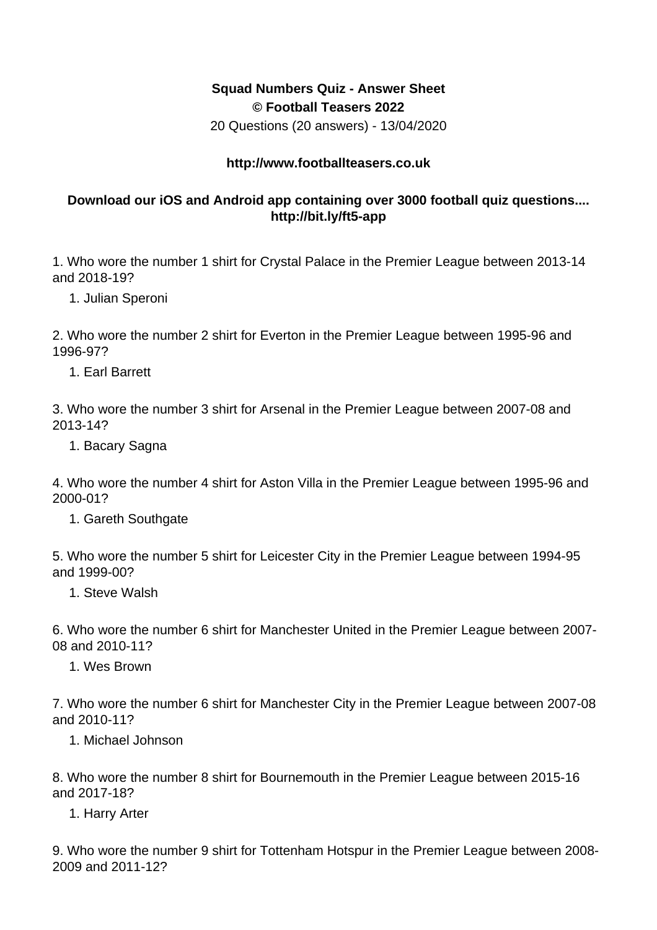## **Squad Numbers Quiz - Answer Sheet © Football Teasers 2022**

20 Questions (20 answers) - 13/04/2020

## **http://www.footballteasers.co.uk**

## **Download our iOS and Android app containing over 3000 football quiz questions.... http://bit.ly/ft5-app**

1. Who wore the number 1 shirt for Crystal Palace in the Premier League between 2013-14 and 2018-19?

1. Julian Speroni

2. Who wore the number 2 shirt for Everton in the Premier League between 1995-96 and 1996-97?

1. Earl Barrett

3. Who wore the number 3 shirt for Arsenal in the Premier League between 2007-08 and 2013-14?

1. Bacary Sagna

4. Who wore the number 4 shirt for Aston Villa in the Premier League between 1995-96 and 2000-01?

1. Gareth Southgate

5. Who wore the number 5 shirt for Leicester City in the Premier League between 1994-95 and 1999-00?

1. Steve Walsh

6. Who wore the number 6 shirt for Manchester United in the Premier League between 2007- 08 and 2010-11?

1. Wes Brown

7. Who wore the number 6 shirt for Manchester City in the Premier League between 2007-08 and 2010-11?

1. Michael Johnson

8. Who wore the number 8 shirt for Bournemouth in the Premier League between 2015-16 and 2017-18?

1. Harry Arter

9. Who wore the number 9 shirt for Tottenham Hotspur in the Premier League between 2008- 2009 and 2011-12?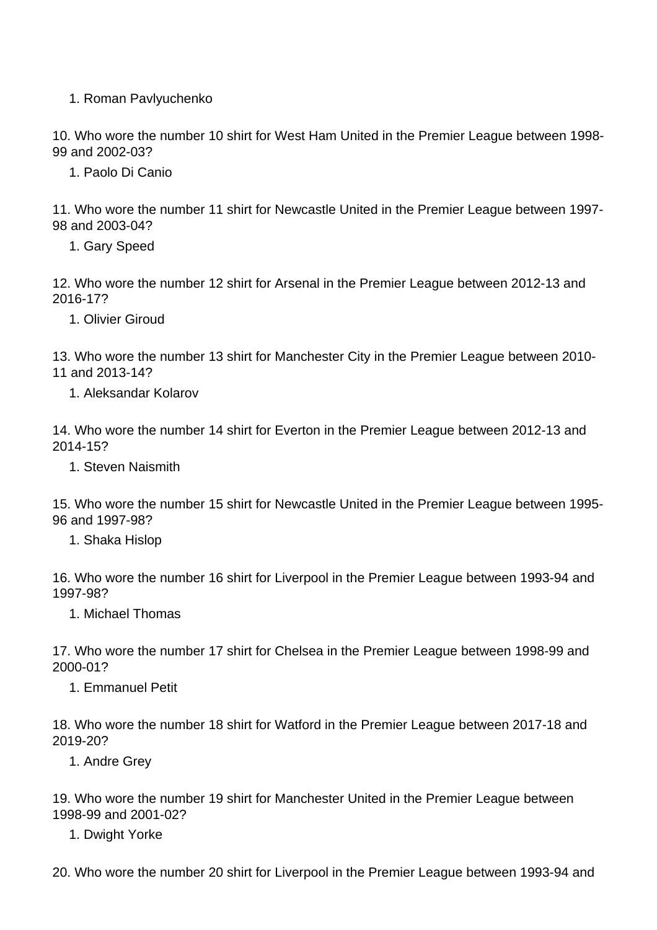1. Roman Pavlyuchenko

10. Who wore the number 10 shirt for West Ham United in the Premier League between 1998- 99 and 2002-03?

1. Paolo Di Canio

11. Who wore the number 11 shirt for Newcastle United in the Premier League between 1997- 98 and 2003-04?

1. Gary Speed

12. Who wore the number 12 shirt for Arsenal in the Premier League between 2012-13 and 2016-17?

1. Olivier Giroud

13. Who wore the number 13 shirt for Manchester City in the Premier League between 2010- 11 and 2013-14?

1. Aleksandar Kolarov

14. Who wore the number 14 shirt for Everton in the Premier League between 2012-13 and 2014-15?

1. Steven Naismith

15. Who wore the number 15 shirt for Newcastle United in the Premier League between 1995- 96 and 1997-98?

1. Shaka Hislop

16. Who wore the number 16 shirt for Liverpool in the Premier League between 1993-94 and 1997-98?

1. Michael Thomas

17. Who wore the number 17 shirt for Chelsea in the Premier League between 1998-99 and 2000-01?

1. Emmanuel Petit

18. Who wore the number 18 shirt for Watford in the Premier League between 2017-18 and 2019-20?

1. Andre Grey

19. Who wore the number 19 shirt for Manchester United in the Premier League between 1998-99 and 2001-02?

1. Dwight Yorke

20. Who wore the number 20 shirt for Liverpool in the Premier League between 1993-94 and